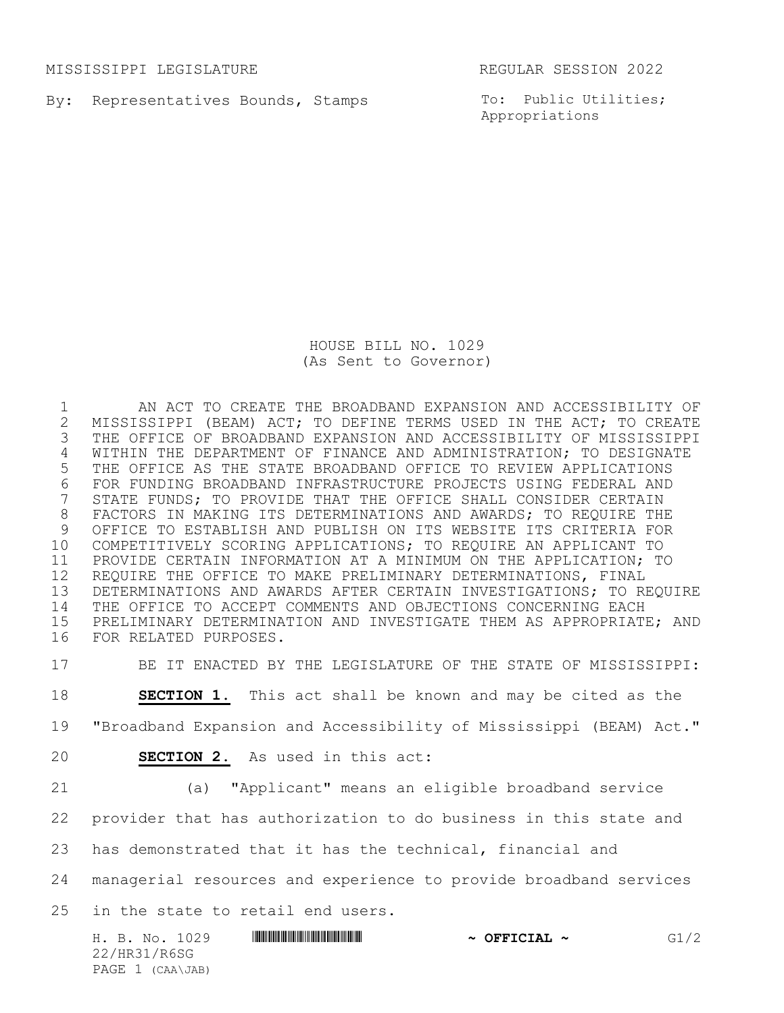MISSISSIPPI LEGISLATURE REGULAR SESSION 2022

By: Representatives Bounds, Stamps

To: Public Utilities; Appropriations

HOUSE BILL NO. 1029 (As Sent to Governor)

 AN ACT TO CREATE THE BROADBAND EXPANSION AND ACCESSIBILITY OF 2 MISSISSIPPI (BEAM) ACT; TO DEFINE TERMS USED IN THE ACT; TO CREATE<br>3 THE OFFICE OF BROADBAND EXPANSION AND ACCESSIBILITY OF MISSISSIPPI THE OFFICE OF BROADBAND EXPANSION AND ACCESSIBILITY OF MISSISSIPPI WITHIN THE DEPARTMENT OF FINANCE AND ADMINISTRATION; TO DESIGNATE THE OFFICE AS THE STATE BROADBAND OFFICE TO REVIEW APPLICATIONS 6 FOR FUNDING BROADBAND INFRASTRUCTURE PROJECTS USING FEDERAL AND<br>7 STATE FUNDS; TO PROVIDE THAT THE OFFICE SHALL CONSIDER CERTAIN STATE FUNDS; TO PROVIDE THAT THE OFFICE SHALL CONSIDER CERTAIN FACTORS IN MAKING ITS DETERMINATIONS AND AWARDS; TO REQUIRE THE OFFICE TO ESTABLISH AND PUBLISH ON ITS WEBSITE ITS CRITERIA FOR COMPETITIVELY SCORING APPLICATIONS; TO REQUIRE AN APPLICANT TO PROVIDE CERTAIN INFORMATION AT A MINIMUM ON THE APPLICATION; TO REQUIRE THE OFFICE TO MAKE PRELIMINARY DETERMINATIONS, FINAL DETERMINATIONS AND AWARDS AFTER CERTAIN INVESTIGATIONS; TO REQUIRE THE OFFICE TO ACCEPT COMMENTS AND OBJECTIONS CONCERNING EACH PRELIMINARY DETERMINATION AND INVESTIGATE THEM AS APPROPRIATE; AND FOR RELATED PURPOSES.

BE IT ENACTED BY THE LEGISLATURE OF THE STATE OF MISSISSIPPI:

**SECTION 1.** This act shall be known and may be cited as the

"Broadband Expansion and Accessibility of Mississippi (BEAM) Act."

**SECTION 2.** As used in this act:

(a) "Applicant" means an eligible broadband service

provider that has authorization to do business in this state and

has demonstrated that it has the technical, financial and

managerial resources and experience to provide broadband services

in the state to retail end users.

|              | H. B. No. 1029   |  | $\sim$ OFFICIAL $\sim$ |  | G1/2 |
|--------------|------------------|--|------------------------|--|------|
| 22/HR31/R6SG |                  |  |                        |  |      |
|              | PAGE 1 (CAA\JAB) |  |                        |  |      |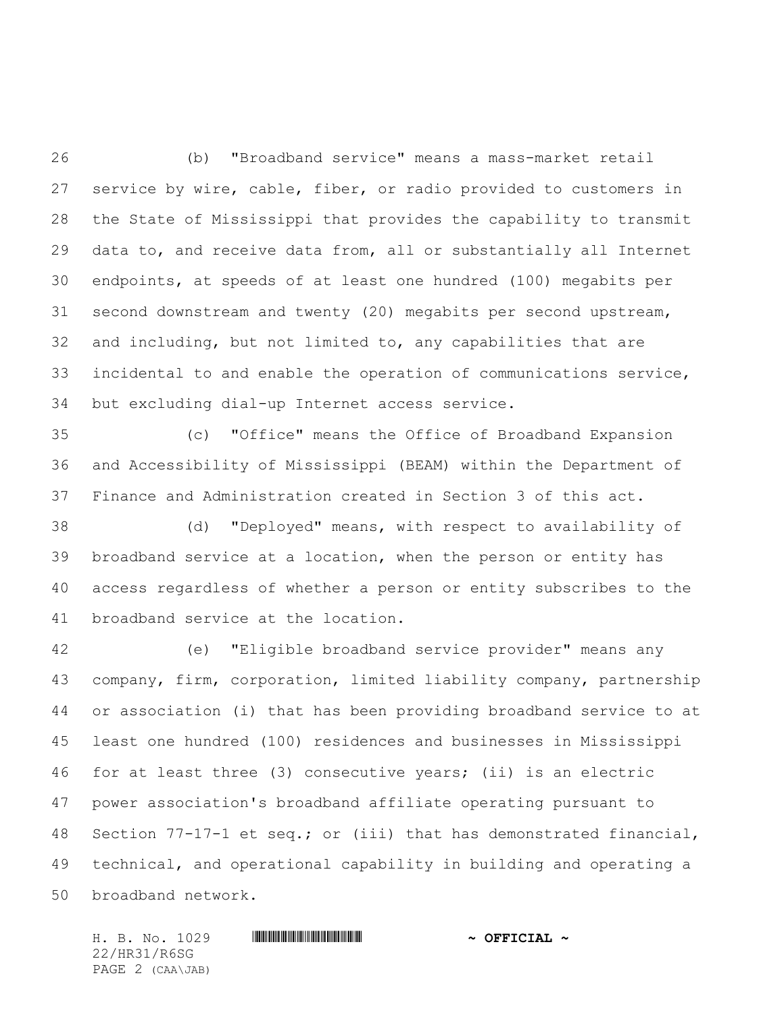(b) "Broadband service" means a mass-market retail service by wire, cable, fiber, or radio provided to customers in the State of Mississippi that provides the capability to transmit data to, and receive data from, all or substantially all Internet endpoints, at speeds of at least one hundred (100) megabits per second downstream and twenty (20) megabits per second upstream, and including, but not limited to, any capabilities that are incidental to and enable the operation of communications service, but excluding dial-up Internet access service.

 (c) "Office" means the Office of Broadband Expansion and Accessibility of Mississippi (BEAM) within the Department of Finance and Administration created in Section 3 of this act.

 (d) "Deployed" means, with respect to availability of broadband service at a location, when the person or entity has access regardless of whether a person or entity subscribes to the broadband service at the location.

 (e) "Eligible broadband service provider" means any company, firm, corporation, limited liability company, partnership or association (i) that has been providing broadband service to at least one hundred (100) residences and businesses in Mississippi for at least three (3) consecutive years; (ii) is an electric power association's broadband affiliate operating pursuant to Section 77-17-1 et seq.; or (iii) that has demonstrated financial, technical, and operational capability in building and operating a broadband network.

H. B. No. 1029 \*HR31/R6SG\* **~ OFFICIAL ~** 22/HR31/R6SG PAGE 2 (CAA\JAB)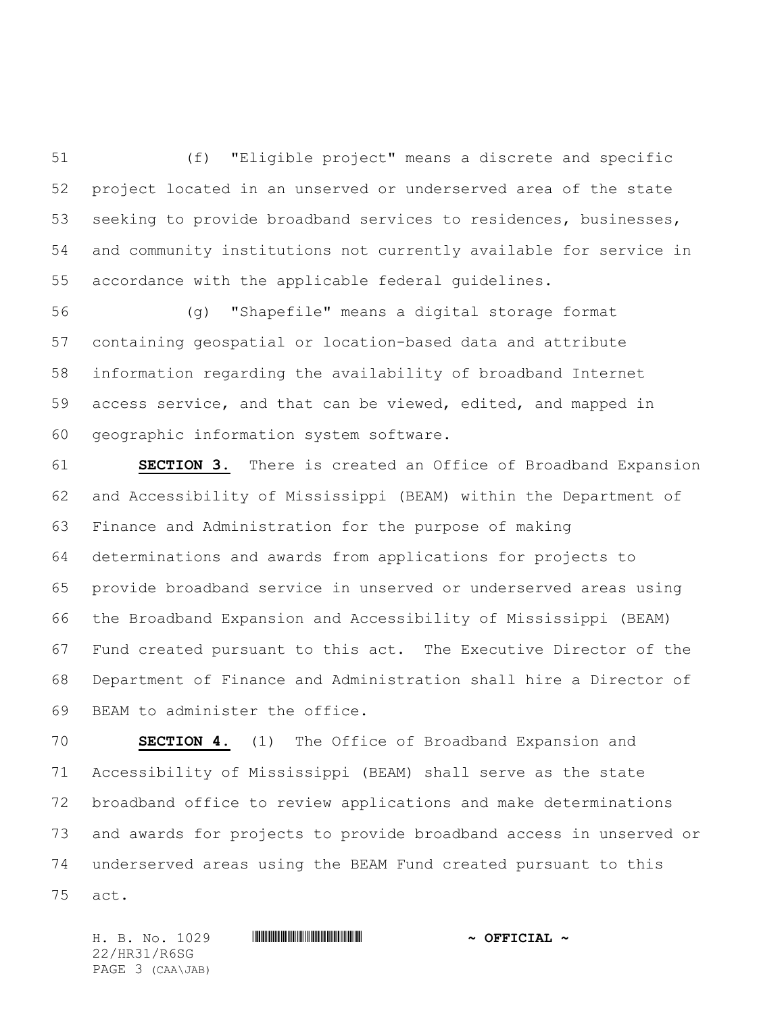(f) "Eligible project" means a discrete and specific project located in an unserved or underserved area of the state seeking to provide broadband services to residences, businesses, and community institutions not currently available for service in accordance with the applicable federal guidelines.

 (g) "Shapefile" means a digital storage format containing geospatial or location-based data and attribute information regarding the availability of broadband Internet access service, and that can be viewed, edited, and mapped in geographic information system software.

 **SECTION 3.** There is created an Office of Broadband Expansion and Accessibility of Mississippi (BEAM) within the Department of Finance and Administration for the purpose of making determinations and awards from applications for projects to provide broadband service in unserved or underserved areas using the Broadband Expansion and Accessibility of Mississippi (BEAM) Fund created pursuant to this act. The Executive Director of the Department of Finance and Administration shall hire a Director of BEAM to administer the office.

 **SECTION 4.** (1) The Office of Broadband Expansion and Accessibility of Mississippi (BEAM) shall serve as the state broadband office to review applications and make determinations and awards for projects to provide broadband access in unserved or underserved areas using the BEAM Fund created pursuant to this act.

H. B. No. 1029 \*HR31/R6SG\* **~ OFFICIAL ~** 22/HR31/R6SG PAGE 3 (CAA\JAB)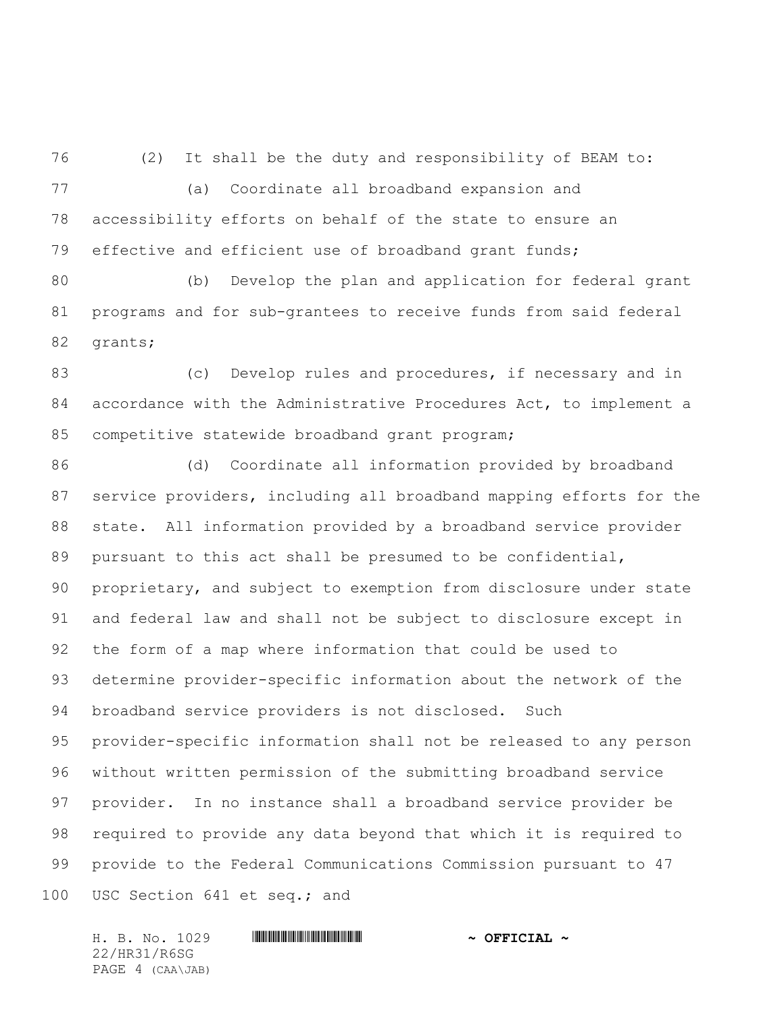(2) It shall be the duty and responsibility of BEAM to: (a) Coordinate all broadband expansion and accessibility efforts on behalf of the state to ensure an effective and efficient use of broadband grant funds;

 (b) Develop the plan and application for federal grant programs and for sub-grantees to receive funds from said federal grants;

83 (c) Develop rules and procedures, if necessary and in accordance with the Administrative Procedures Act, to implement a competitive statewide broadband grant program;

 (d) Coordinate all information provided by broadband service providers, including all broadband mapping efforts for the state. All information provided by a broadband service provider pursuant to this act shall be presumed to be confidential, proprietary, and subject to exemption from disclosure under state and federal law and shall not be subject to disclosure except in the form of a map where information that could be used to determine provider-specific information about the network of the broadband service providers is not disclosed. Such provider-specific information shall not be released to any person without written permission of the submitting broadband service provider. In no instance shall a broadband service provider be required to provide any data beyond that which it is required to provide to the Federal Communications Commission pursuant to 47 USC Section 641 et seq.; and

H. B. No. 1029 \*HR31/R6SG\* **~ OFFICIAL ~** 22/HR31/R6SG PAGE 4 (CAA\JAB)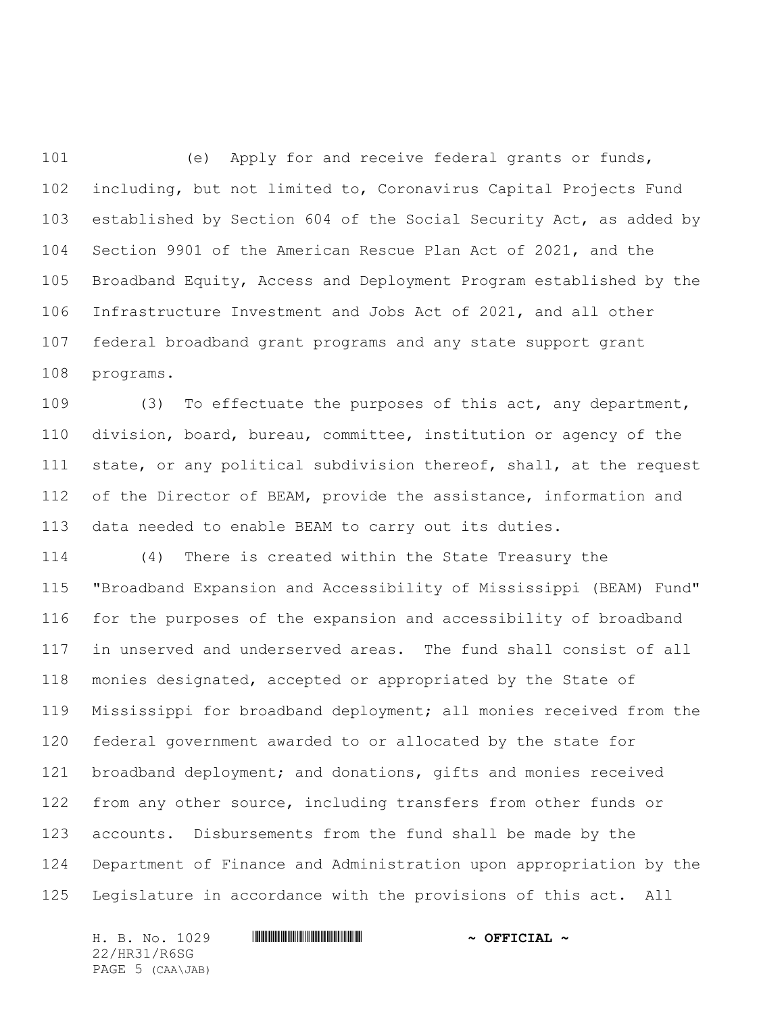(e) Apply for and receive federal grants or funds, including, but not limited to, Coronavirus Capital Projects Fund established by Section 604 of the Social Security Act, as added by Section 9901 of the American Rescue Plan Act of 2021, and the Broadband Equity, Access and Deployment Program established by the Infrastructure Investment and Jobs Act of 2021, and all other federal broadband grant programs and any state support grant programs.

 (3) To effectuate the purposes of this act, any department, division, board, bureau, committee, institution or agency of the state, or any political subdivision thereof, shall, at the request 112 of the Director of BEAM, provide the assistance, information and data needed to enable BEAM to carry out its duties.

 (4) There is created within the State Treasury the "Broadband Expansion and Accessibility of Mississippi (BEAM) Fund" for the purposes of the expansion and accessibility of broadband in unserved and underserved areas. The fund shall consist of all monies designated, accepted or appropriated by the State of Mississippi for broadband deployment; all monies received from the federal government awarded to or allocated by the state for broadband deployment; and donations, gifts and monies received from any other source, including transfers from other funds or accounts. Disbursements from the fund shall be made by the Department of Finance and Administration upon appropriation by the Legislature in accordance with the provisions of this act. All

22/HR31/R6SG PAGE 5 (CAA\JAB)

H. B. No. 1029 \*HR31/R6SG\* **~ OFFICIAL ~**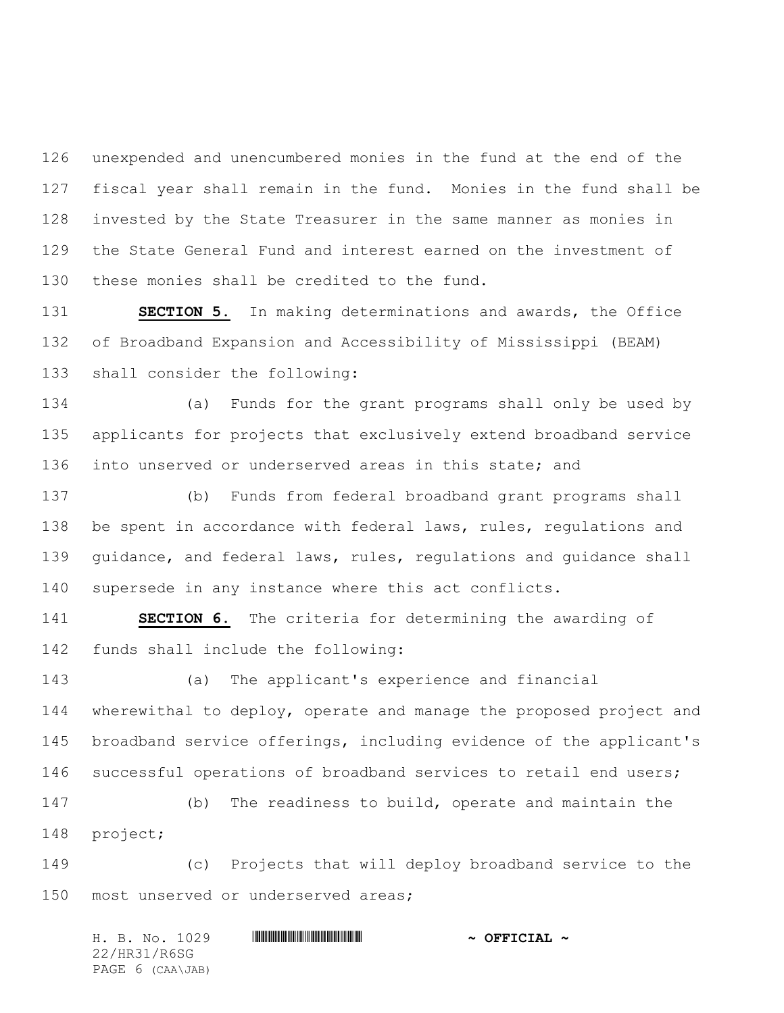unexpended and unencumbered monies in the fund at the end of the fiscal year shall remain in the fund. Monies in the fund shall be invested by the State Treasurer in the same manner as monies in the State General Fund and interest earned on the investment of these monies shall be credited to the fund.

 **SECTION 5.** In making determinations and awards, the Office of Broadband Expansion and Accessibility of Mississippi (BEAM) shall consider the following:

 (a) Funds for the grant programs shall only be used by applicants for projects that exclusively extend broadband service into unserved or underserved areas in this state; and

 (b) Funds from federal broadband grant programs shall 138 be spent in accordance with federal laws, rules, regulations and guidance, and federal laws, rules, regulations and guidance shall supersede in any instance where this act conflicts.

 **SECTION 6.** The criteria for determining the awarding of funds shall include the following:

 (a) The applicant's experience and financial wherewithal to deploy, operate and manage the proposed project and broadband service offerings, including evidence of the applicant's 146 successful operations of broadband services to retail end users;

 (b) The readiness to build, operate and maintain the project;

 (c) Projects that will deploy broadband service to the most unserved or underserved areas;

H. B. No. 1029 \*HR31/R6SG\* **~ OFFICIAL ~** 22/HR31/R6SG PAGE 6 (CAA\JAB)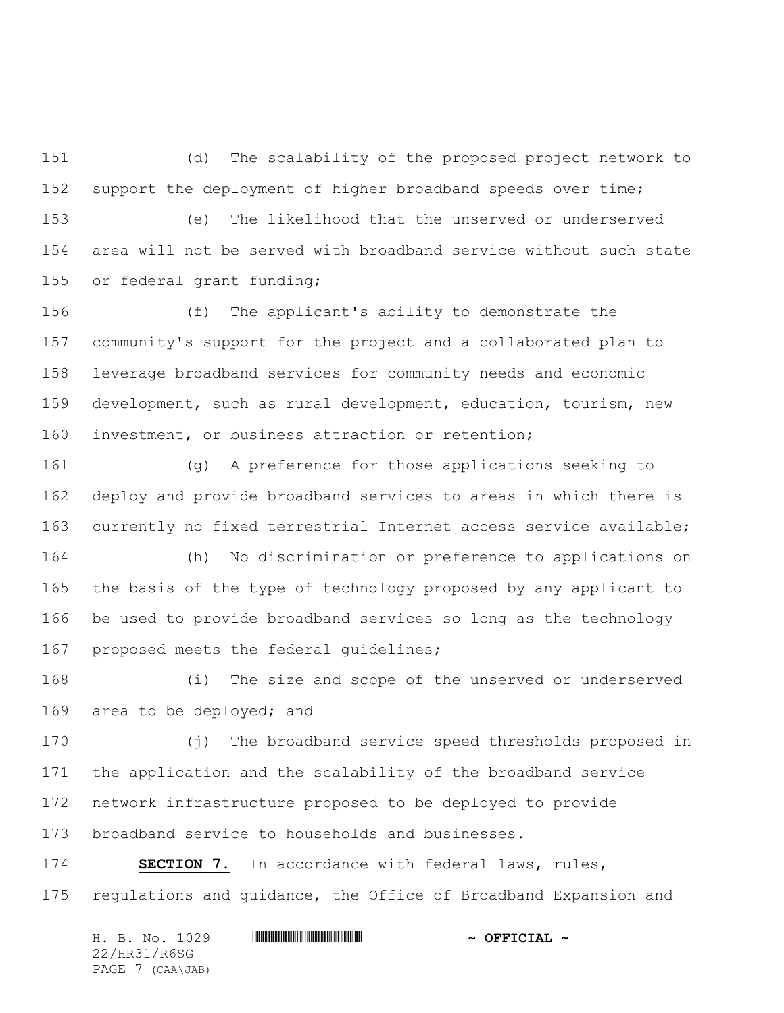(d) The scalability of the proposed project network to support the deployment of higher broadband speeds over time;

 (e) The likelihood that the unserved or underserved area will not be served with broadband service without such state or federal grant funding;

 (f) The applicant's ability to demonstrate the community's support for the project and a collaborated plan to leverage broadband services for community needs and economic development, such as rural development, education, tourism, new investment, or business attraction or retention;

 (g) A preference for those applications seeking to deploy and provide broadband services to areas in which there is currently no fixed terrestrial Internet access service available;

 (h) No discrimination or preference to applications on the basis of the type of technology proposed by any applicant to be used to provide broadband services so long as the technology proposed meets the federal guidelines;

 (i) The size and scope of the unserved or underserved area to be deployed; and

 (j) The broadband service speed thresholds proposed in the application and the scalability of the broadband service network infrastructure proposed to be deployed to provide broadband service to households and businesses.

 **SECTION 7.** In accordance with federal laws, rules, regulations and guidance, the Office of Broadband Expansion and

H. B. No. 1029 \*HR31/R6SG\* **~ OFFICIAL ~** 22/HR31/R6SG PAGE 7 (CAA\JAB)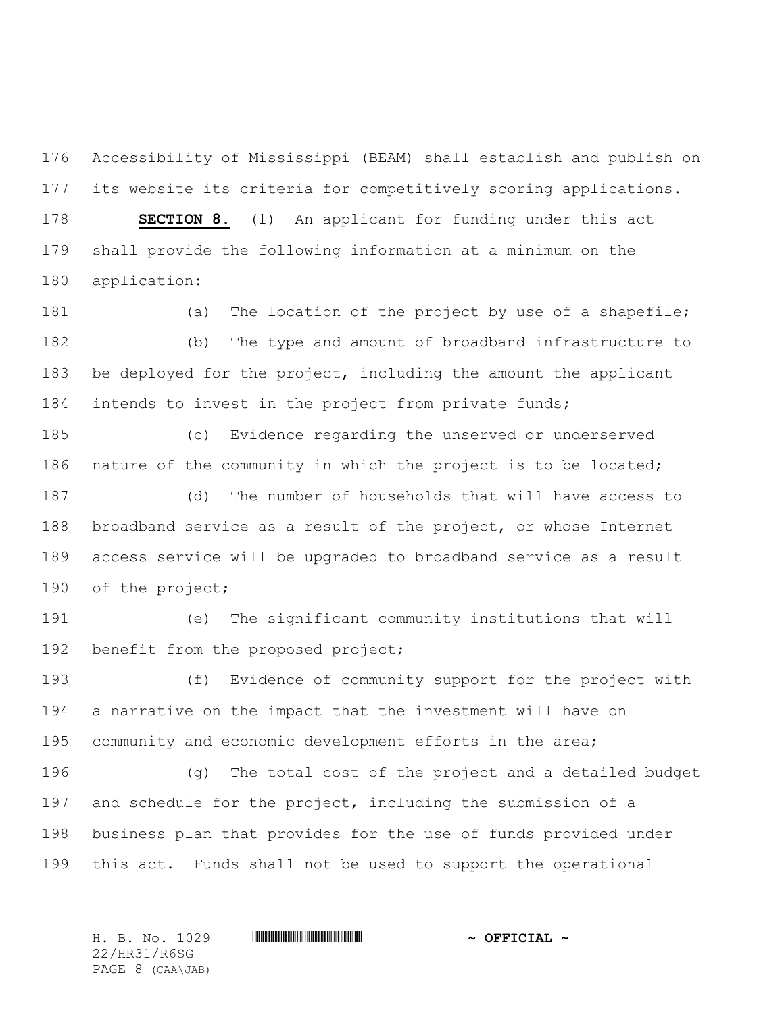Accessibility of Mississippi (BEAM) shall establish and publish on its website its criteria for competitively scoring applications.

 **SECTION 8.** (1) An applicant for funding under this act shall provide the following information at a minimum on the application:

181 (a) The location of the project by use of a shapefile; (b) The type and amount of broadband infrastructure to be deployed for the project, including the amount the applicant intends to invest in the project from private funds;

 (c) Evidence regarding the unserved or underserved 186 nature of the community in which the project is to be located;

 (d) The number of households that will have access to broadband service as a result of the project, or whose Internet access service will be upgraded to broadband service as a result of the project;

 (e) The significant community institutions that will 192 benefit from the proposed project;

 (f) Evidence of community support for the project with a narrative on the impact that the investment will have on community and economic development efforts in the area;

 (g) The total cost of the project and a detailed budget and schedule for the project, including the submission of a business plan that provides for the use of funds provided under this act. Funds shall not be used to support the operational

22/HR31/R6SG PAGE 8 (CAA\JAB)

H. B. No. 1029 \*HR31/R6SG\* **~ OFFICIAL ~**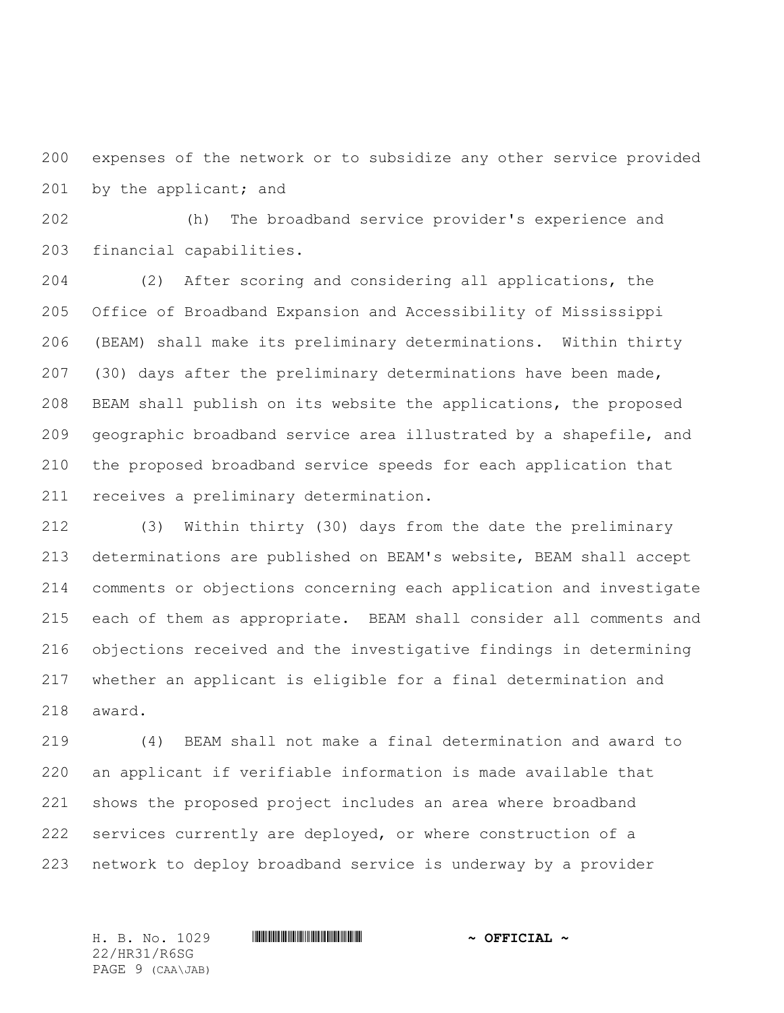expenses of the network or to subsidize any other service provided 201 by the applicant; and

 (h) The broadband service provider's experience and financial capabilities.

 (2) After scoring and considering all applications, the Office of Broadband Expansion and Accessibility of Mississippi (BEAM) shall make its preliminary determinations. Within thirty (30) days after the preliminary determinations have been made, BEAM shall publish on its website the applications, the proposed geographic broadband service area illustrated by a shapefile, and the proposed broadband service speeds for each application that receives a preliminary determination.

 (3) Within thirty (30) days from the date the preliminary determinations are published on BEAM's website, BEAM shall accept comments or objections concerning each application and investigate each of them as appropriate. BEAM shall consider all comments and objections received and the investigative findings in determining whether an applicant is eligible for a final determination and award.

 (4) BEAM shall not make a final determination and award to an applicant if verifiable information is made available that shows the proposed project includes an area where broadband services currently are deployed, or where construction of a network to deploy broadband service is underway by a provider

22/HR31/R6SG PAGE 9 (CAA\JAB)

H. B. No. 1029 \*HR31/R6SG\* **~ OFFICIAL ~**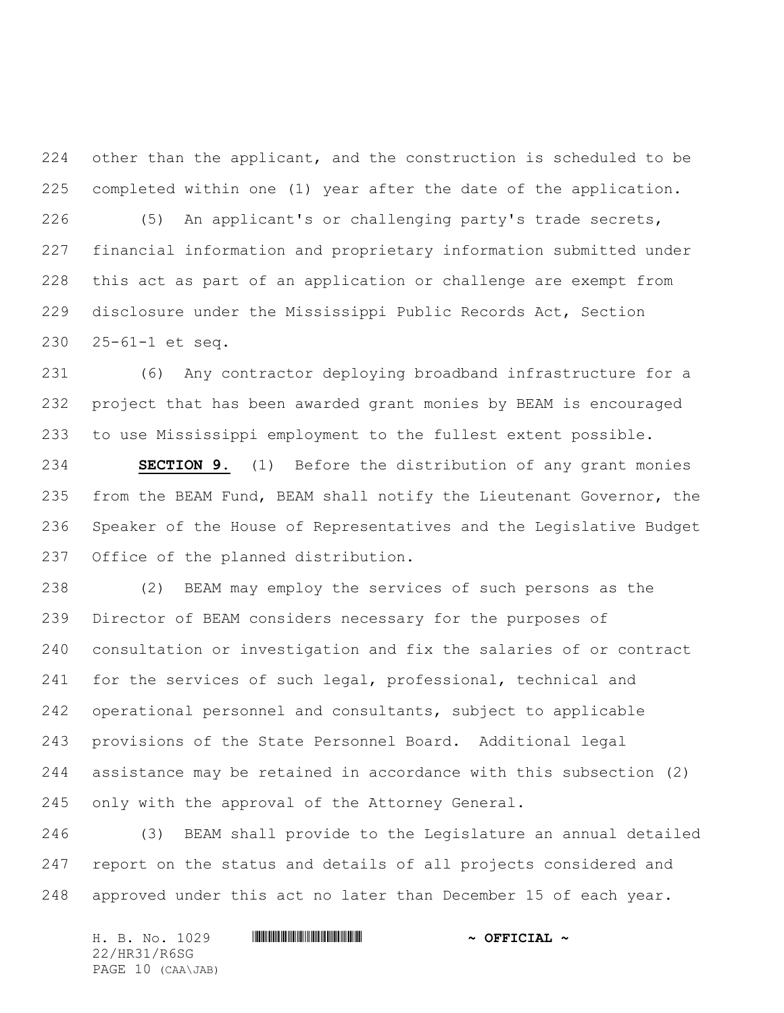224 other than the applicant, and the construction is scheduled to be completed within one (1) year after the date of the application.

 (5) An applicant's or challenging party's trade secrets, financial information and proprietary information submitted under this act as part of an application or challenge are exempt from disclosure under the Mississippi Public Records Act, Section 25-61-1 et seq.

 (6) Any contractor deploying broadband infrastructure for a project that has been awarded grant monies by BEAM is encouraged to use Mississippi employment to the fullest extent possible.

 **SECTION 9.** (1) Before the distribution of any grant monies from the BEAM Fund, BEAM shall notify the Lieutenant Governor, the Speaker of the House of Representatives and the Legislative Budget Office of the planned distribution.

 (2) BEAM may employ the services of such persons as the Director of BEAM considers necessary for the purposes of consultation or investigation and fix the salaries of or contract for the services of such legal, professional, technical and operational personnel and consultants, subject to applicable provisions of the State Personnel Board. Additional legal assistance may be retained in accordance with this subsection (2) only with the approval of the Attorney General.

 (3) BEAM shall provide to the Legislature an annual detailed report on the status and details of all projects considered and approved under this act no later than December 15 of each year.

H. B. No. 1029 \*HR31/R6SG\* **~ OFFICIAL ~** 22/HR31/R6SG PAGE 10 (CAA\JAB)